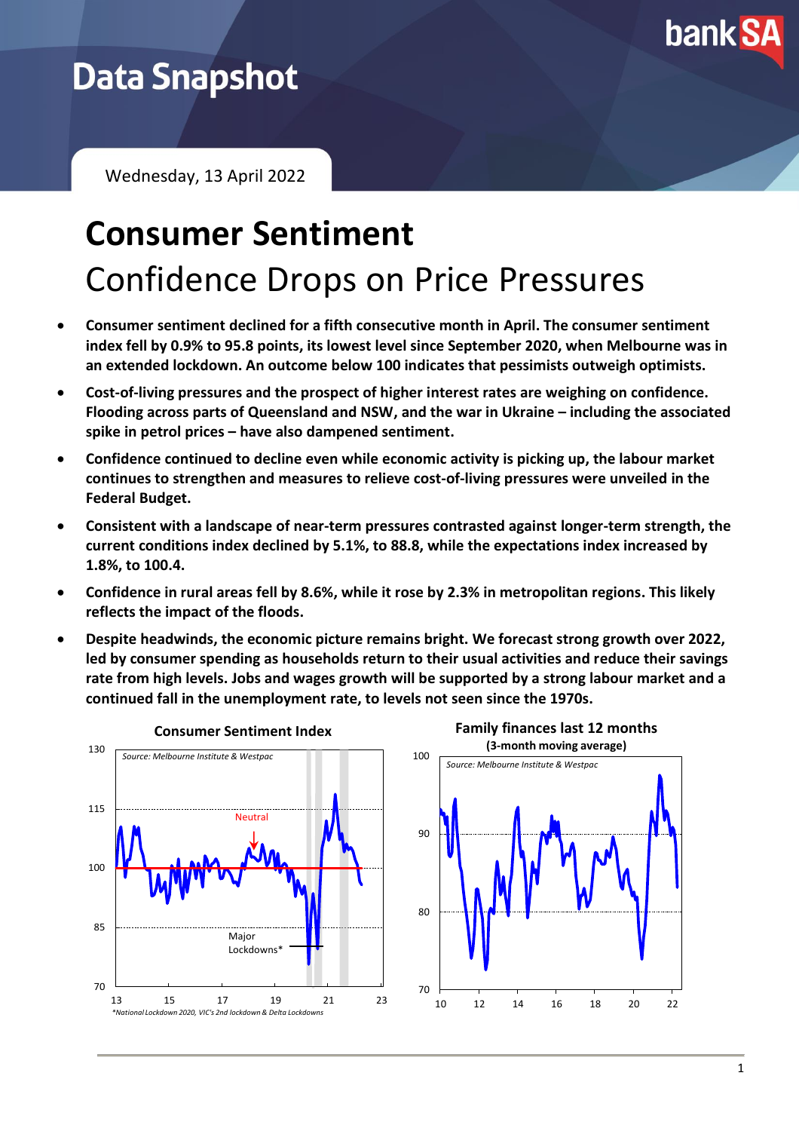

## **Data Snapshot**

Wednesday, 13 April 2022

## **Consumer Sentiment** Confidence Drops on Price Pressures

- **Consumer sentiment declined for a fifth consecutive month in April. The consumer sentiment index fell by 0.9% to 95.8 points, its lowest level since September 2020, when Melbourne was in an extended lockdown. An outcome below 100 indicates that pessimists outweigh optimists.**
- **Cost-of-living pressures and the prospect of higher interest rates are weighing on confidence. Flooding across parts of Queensland and NSW, and the war in Ukraine – including the associated spike in petrol prices – have also dampened sentiment.**
- **Confidence continued to decline even while economic activity is picking up, the labour market continues to strengthen and measures to relieve cost-of-living pressures were unveiled in the Federal Budget.**
- **Consistent with a landscape of near-term pressures contrasted against longer-term strength, the current conditions index declined by 5.1%, to 88.8, while the expectations index increased by 1.8%, to 100.4.**
- **Confidence in rural areas fell by 8.6%, while it rose by 2.3% in metropolitan regions. This likely reflects the impact of the floods.**
- **Despite headwinds, the economic picture remains bright. We forecast strong growth over 2022, led by consumer spending as households return to their usual activities and reduce their savings rate from high levels. Jobs and wages growth will be supported by a strong labour market and a continued fall in the unemployment rate, to levels not seen since the 1970s.**

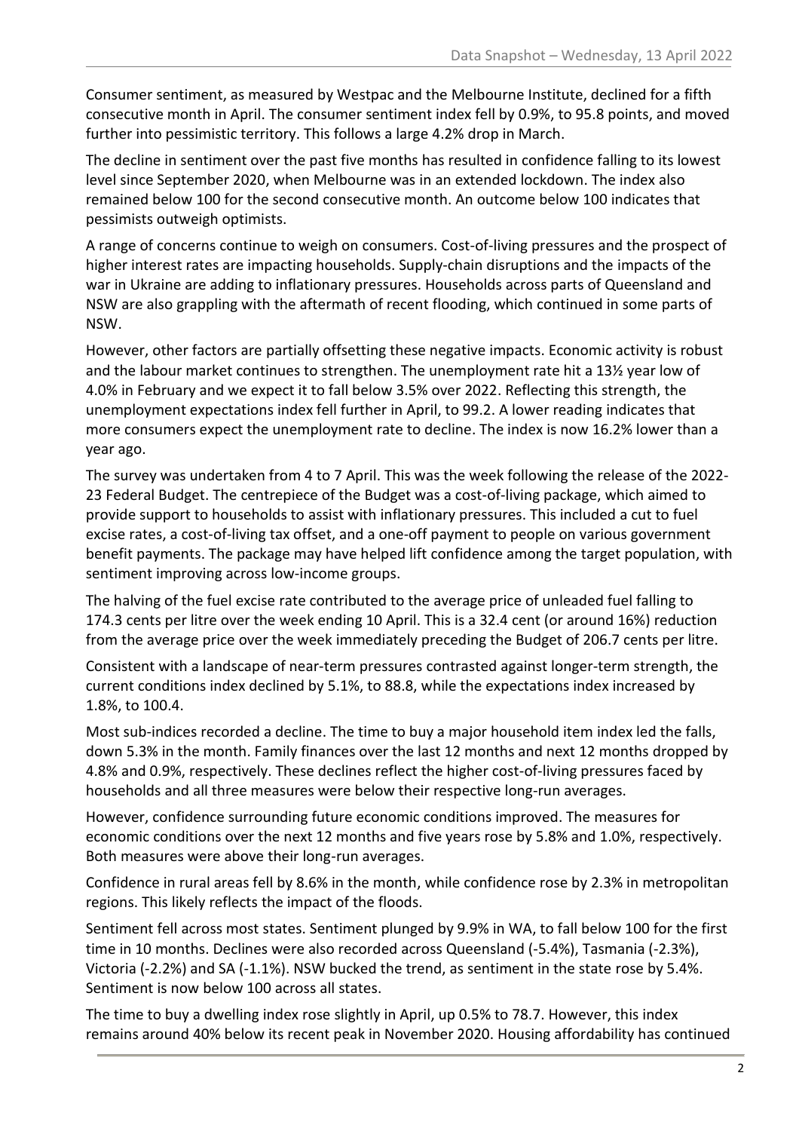Consumer sentiment, as measured by Westpac and the Melbourne Institute, declined for a fifth consecutive month in April. The consumer sentiment index fell by 0.9%, to 95.8 points, and moved further into pessimistic territory. This follows a large 4.2% drop in March.

The decline in sentiment over the past five months has resulted in confidence falling to its lowest level since September 2020, when Melbourne was in an extended lockdown. The index also remained below 100 for the second consecutive month. An outcome below 100 indicates that pessimists outweigh optimists.

A range of concerns continue to weigh on consumers. Cost-of-living pressures and the prospect of higher interest rates are impacting households. Supply-chain disruptions and the impacts of the war in Ukraine are adding to inflationary pressures. Households across parts of Queensland and NSW are also grappling with the aftermath of recent flooding, which continued in some parts of NSW.

However, other factors are partially offsetting these negative impacts. Economic activity is robust and the labour market continues to strengthen. The unemployment rate hit a 13½ year low of 4.0% in February and we expect it to fall below 3.5% over 2022. Reflecting this strength, the unemployment expectations index fell further in April, to 99.2. A lower reading indicates that more consumers expect the unemployment rate to decline. The index is now 16.2% lower than a year ago.

The survey was undertaken from 4 to 7 April. This was the week following the release of the 2022- 23 Federal Budget. The centrepiece of the Budget was a cost-of-living package, which aimed to provide support to households to assist with inflationary pressures. This included a cut to fuel excise rates, a cost-of-living tax offset, and a one-off payment to people on various government benefit payments. The package may have helped lift confidence among the target population, with sentiment improving across low-income groups.

The halving of the fuel excise rate contributed to the average price of unleaded fuel falling to 174.3 cents per litre over the week ending 10 April. This is a 32.4 cent (or around 16%) reduction from the average price over the week immediately preceding the Budget of 206.7 cents per litre.

Consistent with a landscape of near-term pressures contrasted against longer-term strength, the current conditions index declined by 5.1%, to 88.8, while the expectations index increased by 1.8%, to 100.4.

Most sub-indices recorded a decline. The time to buy a major household item index led the falls, down 5.3% in the month. Family finances over the last 12 months and next 12 months dropped by 4.8% and 0.9%, respectively. These declines reflect the higher cost-of-living pressures faced by households and all three measures were below their respective long-run averages.

However, confidence surrounding future economic conditions improved. The measures for economic conditions over the next 12 months and five years rose by 5.8% and 1.0%, respectively. Both measures were above their long-run averages.

Confidence in rural areas fell by 8.6% in the month, while confidence rose by 2.3% in metropolitan regions. This likely reflects the impact of the floods.

Sentiment fell across most states. Sentiment plunged by 9.9% in WA, to fall below 100 for the first time in 10 months. Declines were also recorded across Queensland (-5.4%), Tasmania (-2.3%), Victoria (-2.2%) and SA (-1.1%). NSW bucked the trend, as sentiment in the state rose by 5.4%. Sentiment is now below 100 across all states.

The time to buy a dwelling index rose slightly in April, up 0.5% to 78.7. However, this index remains around 40% below its recent peak in November 2020. Housing affordability has continued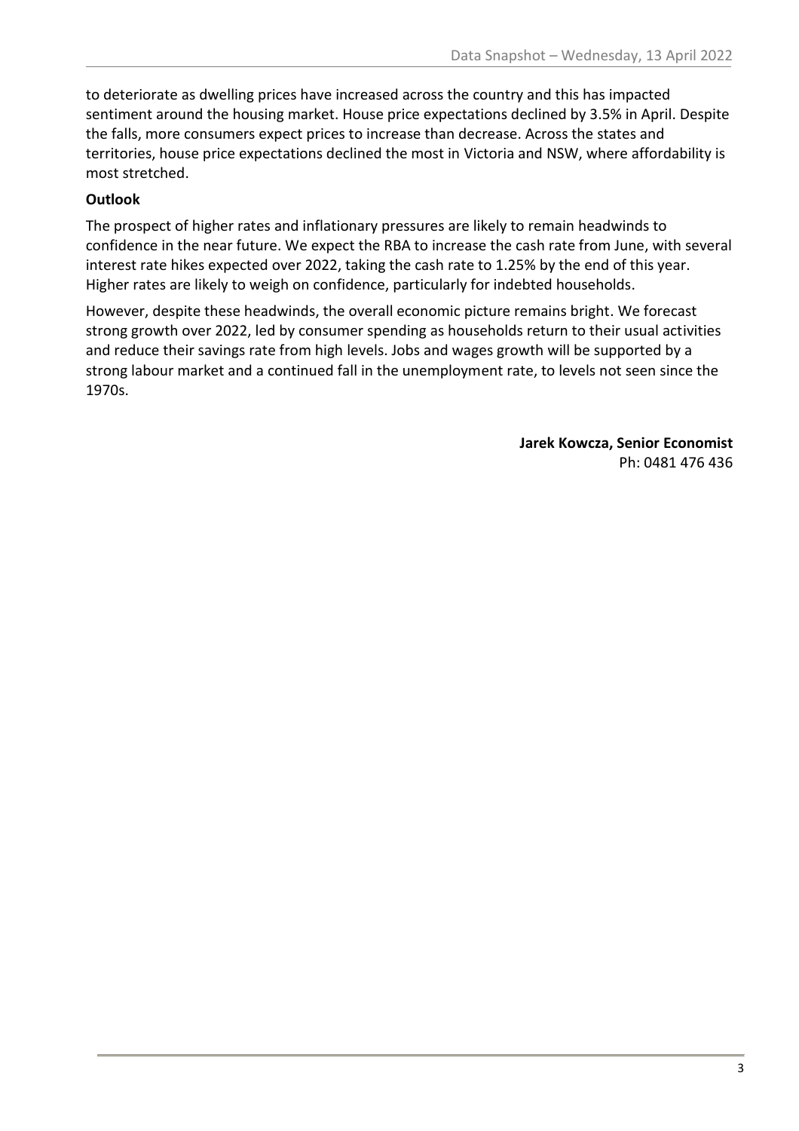to deteriorate as dwelling prices have increased across the country and this has impacted sentiment around the housing market. House price expectations declined by 3.5% in April. Despite the falls, more consumers expect prices to increase than decrease. Across the states and territories, house price expectations declined the most in Victoria and NSW, where affordability is most stretched.

## **Outlook**

The prospect of higher rates and inflationary pressures are likely to remain headwinds to confidence in the near future. We expect the RBA to increase the cash rate from June, with several interest rate hikes expected over 2022, taking the cash rate to 1.25% by the end of this year. Higher rates are likely to weigh on confidence, particularly for indebted households.

However, despite these headwinds, the overall economic picture remains bright. We forecast strong growth over 2022, led by consumer spending as households return to their usual activities and reduce their savings rate from high levels. Jobs and wages growth will be supported by a strong labour market and a continued fall in the unemployment rate, to levels not seen since the 1970s.

> **Jarek Kowcza, Senior Economist** Ph: 0481 476 436